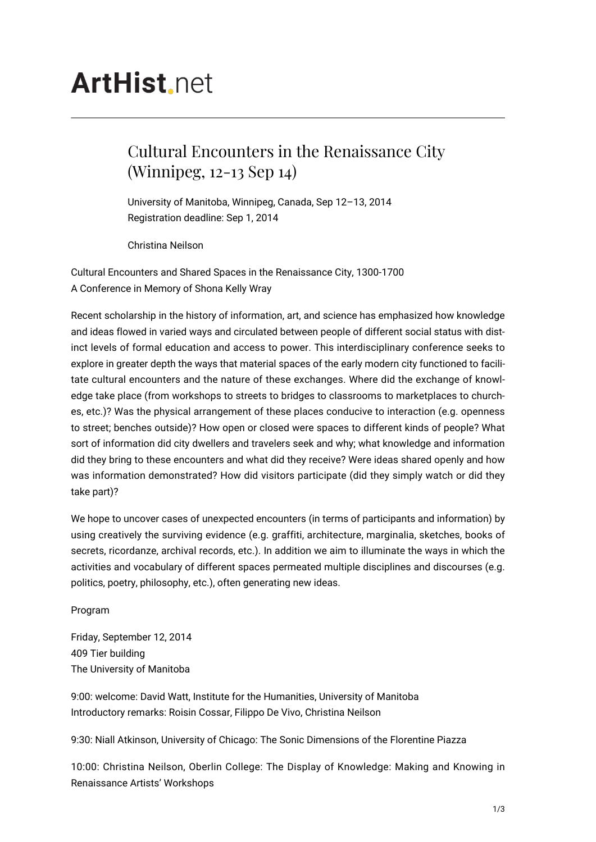## **ArtHist.net**

## Cultural Encounters in the Renaissance City (Winnipeg, 12-13 Sep 14)

University of Manitoba, Winnipeg, Canada, Sep 12–13, 2014 Registration deadline: Sep 1, 2014

Christina Neilson

Cultural Encounters and Shared Spaces in the Renaissance City, 1300-1700 A Conference in Memory of Shona Kelly Wray

Recent scholarship in the history of information, art, and science has emphasized how knowledge and ideas flowed in varied ways and circulated between people of different social status with distinct levels of formal education and access to power. This interdisciplinary conference seeks to explore in greater depth the ways that material spaces of the early modern city functioned to facilitate cultural encounters and the nature of these exchanges. Where did the exchange of knowledge take place (from workshops to streets to bridges to classrooms to marketplaces to churches, etc.)? Was the physical arrangement of these places conducive to interaction (e.g. openness to street; benches outside)? How open or closed were spaces to different kinds of people? What sort of information did city dwellers and travelers seek and why; what knowledge and information did they bring to these encounters and what did they receive? Were ideas shared openly and how was information demonstrated? How did visitors participate (did they simply watch or did they take part)?

We hope to uncover cases of unexpected encounters (in terms of participants and information) by using creatively the surviving evidence (e.g. graffiti, architecture, marginalia, sketches, books of secrets, ricordanze, archival records, etc.). In addition we aim to illuminate the ways in which the activities and vocabulary of different spaces permeated multiple disciplines and discourses (e.g. politics, poetry, philosophy, etc.), often generating new ideas.

Program

Friday, September 12, 2014 409 Tier building The University of Manitoba

9:00: welcome: David Watt, Institute for the Humanities, University of Manitoba Introductory remarks: Roisin Cossar, Filippo De Vivo, Christina Neilson

9:30: Niall Atkinson, University of Chicago: The Sonic Dimensions of the Florentine Piazza

10:00: Christina Neilson, Oberlin College: The Display of Knowledge: Making and Knowing in Renaissance Artists' Workshops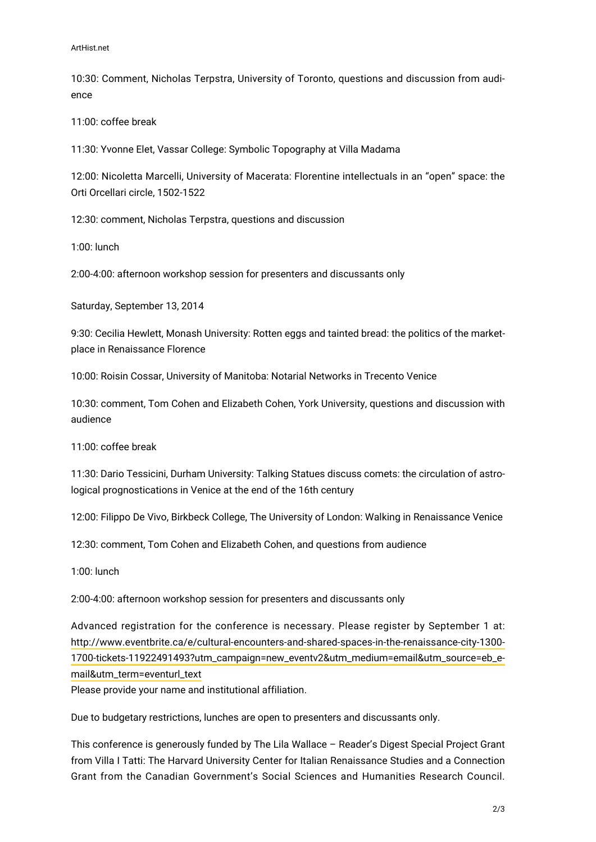10:30: Comment, Nicholas Terpstra, University of Toronto, questions and discussion from audience

11:00: coffee break

11:30: Yvonne Elet, Vassar College: Symbolic Topography at Villa Madama

12:00: Nicoletta Marcelli, University of Macerata: Florentine intellectuals in an "open" space: the Orti Orcellari circle, 1502-1522

12:30: comment, Nicholas Terpstra, questions and discussion

1:00: lunch

2:00-4:00: afternoon workshop session for presenters and discussants only

Saturday, September 13, 2014

9:30: Cecilia Hewlett, Monash University: Rotten eggs and tainted bread: the politics of the marketplace in Renaissance Florence

10:00: Roisin Cossar, University of Manitoba: Notarial Networks in Trecento Venice

10:30: comment, Tom Cohen and Elizabeth Cohen, York University, questions and discussion with audience

11:00: coffee break

11:30: Dario Tessicini, Durham University: Talking Statues discuss comets: the circulation of astrological prognostications in Venice at the end of the 16th century

12:00: Filippo De Vivo, Birkbeck College, The University of London: Walking in Renaissance Venice

12:30: comment, Tom Cohen and Elizabeth Cohen, and questions from audience

1:00: lunch

2:00-4:00: afternoon workshop session for presenters and discussants only

Advanced registration for the conference is necessary. Please register by September 1 at: [http://www.eventbrite.ca/e/cultural-encounters-and-shared-spaces-in-the-renaissance-city-1300-](http://www.eventbrite.ca/e/cultural-encounters-and-shared-spaces-in-the-renaissance-city-1300-1700-tickets-11922491493?utm_campaign=new_eventv2&utm_medium=email&utm_source=eb_email&utm_term=eventurl_text) [1700-tickets-11922491493?utm\\_campaign=new\\_eventv2&utm\\_medium=email&utm\\_source=eb\\_e](http://www.eventbrite.ca/e/cultural-encounters-and-shared-spaces-in-the-renaissance-city-1300-1700-tickets-11922491493?utm_campaign=new_eventv2&utm_medium=email&utm_source=eb_email&utm_term=eventurl_text)[mail&utm\\_term=eventurl\\_text](http://www.eventbrite.ca/e/cultural-encounters-and-shared-spaces-in-the-renaissance-city-1300-1700-tickets-11922491493?utm_campaign=new_eventv2&utm_medium=email&utm_source=eb_email&utm_term=eventurl_text)

Please provide your name and institutional affiliation.

Due to budgetary restrictions, lunches are open to presenters and discussants only.

This conference is generously funded by The Lila Wallace – Reader's Digest Special Project Grant from Villa I Tatti: The Harvard University Center for Italian Renaissance Studies and a Connection Grant from the Canadian Government's Social Sciences and Humanities Research Council.